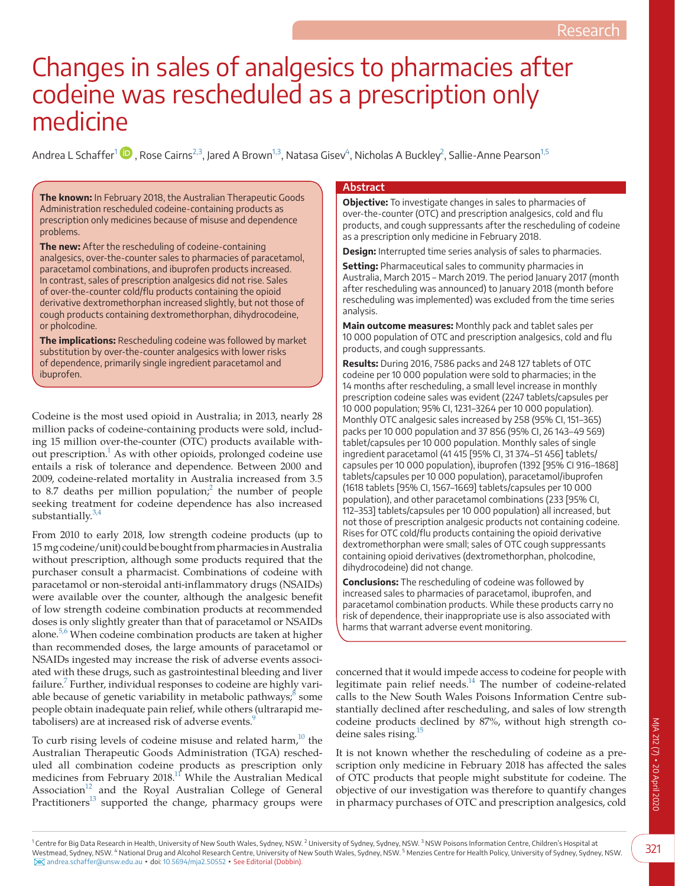# Changes in sales of analgesics to pharmacies after codeine was rescheduled as a prescription only medicine

Andrea L Schaffer<sup>[1](#page-0-0) (D</sup>)[,](https://orcid.org/0000-0002-3701-4997) Rose Cairns<sup>2,3</sup>, Jared A Brown<sup>[1,3](#page-0-0)</sup>, Natasa Gisev<sup>[4](#page-0-2)</sup>, Nicholas A Buckley<sup>[2](#page-0-1)</sup>, Sallie-Anne Pearson<sup>[1,5](#page-0-0)</sup>

**The known:** In February 2018, the Australian Therapeutic Goods Administration rescheduled codeine-containing products as prescription only medicines because of misuse and dependence problems.

**The new:** After the rescheduling of codeine-containing analgesics, over-the-counter sales to pharmacies of paracetamol, paracetamol combinations, and ibuprofen products increased. In contrast, sales of prescription analgesics did not rise. Sales of over-the-counter cold/flu products containing the opioid derivative dextromethorphan increased slightly, but not those of cough products containing dextromethorphan, dihydrocodeine, or pholcodine.

**The implications:** Rescheduling codeine was followed by market substitution by over-the-counter analgesics with lower risks of dependence, primarily single ingredient paracetamol and ibuprofen.

Codeine is the most used opioid in Australia; in 2013, nearly 28 million packs of codeine-containing products were sold, including 15 million over-the-counter (OTC) products available without prescription.<sup>1</sup> As with other opioids, prolonged codeine use entails a risk of tolerance and dependence. Between 2000 and 2009, codeine-related mortality in Australia increased from 3.5 to 8.7 deaths per million population;<sup>[2](#page-6-1)</sup> the number of people seeking treatment for codeine dependence has also increased substantially. $3,4$ 

From 2010 to early 2018, low strength codeine products (up to 15 mg codeine/unit) could be bought from pharmacies in Australia without prescription, although some products required that the purchaser consult a pharmacist. Combinations of codeine with paracetamol or non-steroidal anti-inflammatory drugs (NSAIDs) were available over the counter, although the analgesic benefit of low strength codeine combination products at recommended doses is only slightly greater than that of paracetamol or NSAIDs alone.<sup>5,6</sup> When codeine combination products are taken at higher than recommended doses, the large amounts of paracetamol or NSAIDs ingested may increase the risk of adverse events associated with these drugs, such as gastrointestinal bleeding and liver failure.<sup>7</sup> Further, individual responses to codeine are highly variable because of genetic variability in metabolic pathways; $\frac{8}{5}$  some people obtain inadequate pain relief, while others (ultrarapid metabolisers) are at increased risk of adverse events.<sup>9</sup>

To curb rising levels of codeine misuse and related harm, $10$  the Australian Therapeutic Goods Administration (TGA) rescheduled all combination codeine products as prescription only medicines from February  $2018$ .<sup>11</sup> While the Australian Medical Association<sup>12</sup> and the Royal Australian College of General Practitioners<sup>13</sup> supported the change, pharmacy groups were

## **Abstract**

**Objective:** To investigate changes in sales to pharmacies of over-the-counter (OTC) and prescription analgesics, cold and flu products, and cough suppressants after the rescheduling of codeine as a prescription only medicine in February 2018.

**Design:** Interrupted time series analysis of sales to pharmacies.

**Setting:** Pharmaceutical sales to community pharmacies in Australia, March 2015 – March 2019. The period January 2017 (month after rescheduling was announced) to January 2018 (month before rescheduling was implemented) was excluded from the time series analysis.

**Main outcome measures:** Monthly pack and tablet sales per 10 000 population of OTC and prescription analgesics, cold and flu products, and cough suppressants.

**Results:** During 2016, 7586 packs and 248 127 tablets of OTC codeine per 10 000 population were sold to pharmacies; in the 14 months after rescheduling, a small level increase in monthly prescription codeine sales was evident (2247 tablets/capsules per 10 000 population; 95% CI, 1231–3264 per 10 000 population). Monthly OTC analgesic sales increased by 258 (95% CI, 151–365) packs per 10 000 population and 37 856 (95% CI, 26 143–49 569) tablet/capsules per 10 000 population. Monthly sales of single ingredient paracetamol (41 415 [95% CI, 31 374–51 456] tablets/ capsules per 10 000 population), ibuprofen (1392 [95% CI 916–1868] tablets/capsules per 10 000 population), paracetamol/ibuprofen (1618 tablets [95% CI, 1567–1669] tablets/capsules per 10 000 population), and other paracetamol combinations (233 [95% CI, 112–353] tablets/capsules per 10 000 population) all increased, but not those of prescription analgesic products not containing codeine. Rises for OTC cold/flu products containing the opioid derivative dextromethorphan were small; sales of OTC cough suppressants containing opioid derivatives (dextromethorphan, pholcodine, dihydrocodeine) did not change.

**Conclusions:** The rescheduling of codeine was followed by increased sales to pharmacies of paracetamol, ibuprofen, and paracetamol combination products. While these products carry no risk of dependence, their inappropriate use is also associated with harms that warrant adverse event monitoring.

concerned that it would impede access to codeine for people with legitimate pain relief needs. $^{14}$  The number of codeine-related calls to the New South Wales Poisons Information Centre substantially declined after rescheduling, and sales of low strength codeine products declined by 87%, without high strength co-deine sales rising.<sup>[15](#page-6-12)</sup>

It is not known whether the rescheduling of codeine as a prescription only medicine in February 2018 has affected the sales of OTC products that people might substitute for codeine. The objective of our investigation was therefore to quantify changes in pharmacy purchases of OTC and prescription analgesics, cold

<span id="page-0-2"></span><span id="page-0-1"></span><span id="page-0-0"></span><sup>1</sup> Centre for Big Data Research in Health, University of New South Wales, Sydney, NSW. <sup>2</sup> University of Sydney, Sydney, NSW. <sup>3</sup> NSW Poisons Information Centre, Children's Hospital at [West](mailto:andrea.schaffer@unsw.edu.au)mead, Sydney, NSW. <sup>4</sup> National Drug and Alcohol Research Centre, University of New South Wales, Sydney, NSW. <sup>5</sup> Menzies Centre for Health Policy, University of Sydney, NSW. 1997 (1997) [andrea.schaffer@unsw.edu.au](mailto:andrea.schaffer@unsw.edu.au) ▪ doi: [10.5694/mja2.50552](https://doi.org/10.5694/mja2.50552) ▪ See Editorial (Dobbin).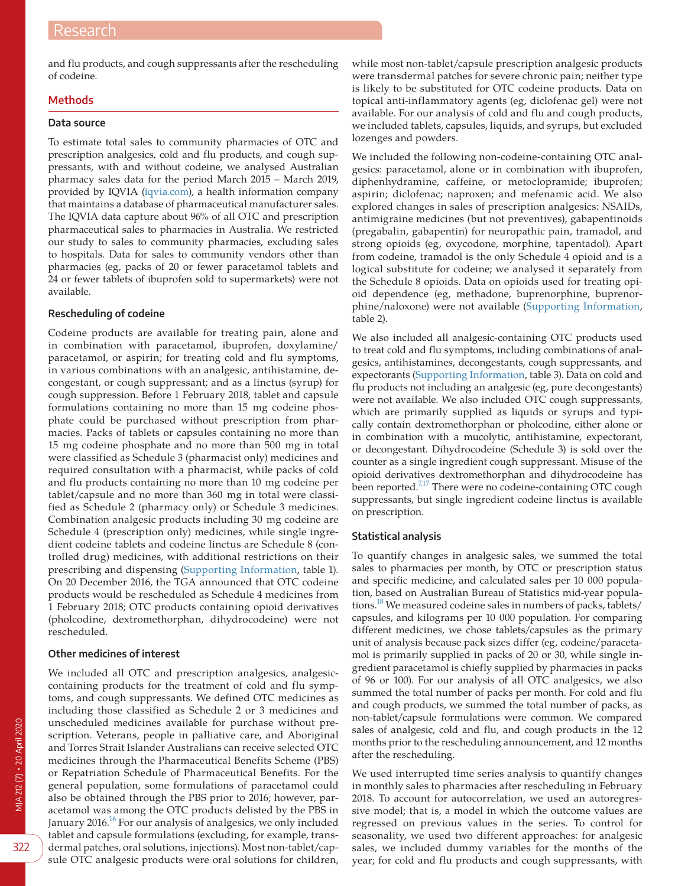and flu products, and cough suppressants after the rescheduling of codeine.

## **Methods**

#### **Data source**

To estimate total sales to community pharmacies of OTC and prescription analgesics, cold and flu products, and cough suppressants, with and without codeine, we analysed Australian pharmacy sales data for the period March 2015 – March 2019, provided by IQVIA [\(iqvia.com](https://www.iqvia.com)), a health information company that maintains a database of pharmaceutical manufacturer sales. The IQVIA data capture about 96% of all OTC and prescription pharmaceutical sales to pharmacies in Australia. We restricted our study to sales to community pharmacies, excluding sales to hospitals. Data for sales to community vendors other than pharmacies (eg, packs of 20 or fewer paracetamol tablets and 24 or fewer tablets of ibuprofen sold to supermarkets) were not available.

## **Rescheduling of codeine**

Codeine products are available for treating pain, alone and in combination with paracetamol, ibuprofen, doxylamine/ paracetamol, or aspirin; for treating cold and flu symptoms, in various combinations with an analgesic, antihistamine, decongestant, or cough suppressant; and as a linctus (syrup) for cough suppression. Before 1 February 2018, tablet and capsule formulations containing no more than 15 mg codeine phosphate could be purchased without prescription from pharmacies. Packs of tablets or capsules containing no more than 15 mg codeine phosphate and no more than 500 mg in total were classified as Schedule 3 (pharmacist only) medicines and required consultation with a pharmacist, while packs of cold and flu products containing no more than 10 mg codeine per tablet/capsule and no more than 360 mg in total were classified as Schedule 2 (pharmacy only) or Schedule 3 medicines. Combination analgesic products including 30 mg codeine are Schedule 4 (prescription only) medicines, while single ingredient codeine tablets and codeine linctus are Schedule 8 (controlled drug) medicines, with additional restrictions on their prescribing and dispensing [\(Supporting Information](#page-6-13), table 1). On 20 December 2016, the TGA announced that OTC codeine products would be rescheduled as Schedule 4 medicines from 1 February 2018; OTC products containing opioid derivatives (pholcodine, dextromethorphan, dihydrocodeine) were not rescheduled.

## **Other medicines of interest**

We included all OTC and prescription analgesics, analgesiccontaining products for the treatment of cold and flu symptoms, and cough suppressants. We defined OTC medicines as including those classified as Schedule 2 or 3 medicines and unscheduled medicines available for purchase without prescription. Veterans, people in palliative care, and Aboriginal and Torres Strait Islander Australians can receive selected OTC medicines through the Pharmaceutical Benefits Scheme (PBS) or Repatriation Schedule of Pharmaceutical Benefits. For the general population, some formulations of paracetamol could also be obtained through the PBS prior to 2016; however, paracetamol was among the OTC products delisted by the PBS in January 2016.<sup>16</sup> For our analysis of analgesics, we only included tablet and capsule formulations (excluding, for example, transdermal patches, oral solutions, injections). Most non-tablet/capsule OTC analgesic products were oral solutions for children, while most non-tablet/capsule prescription analgesic products were transdermal patches for severe chronic pain; neither type is likely to be substituted for OTC codeine products. Data on topical anti-inflammatory agents (eg, diclofenac gel) were not available. For our analysis of cold and flu and cough products, we included tablets, capsules, liquids, and syrups, but excluded lozenges and powders.

We included the following non-codeine-containing OTC analgesics: paracetamol, alone or in combination with ibuprofen, diphenhydramine, caffeine, or metoclopramide; ibuprofen; aspirin; diclofenac; naproxen; and mefenamic acid. We also explored changes in sales of prescription analgesics: NSAIDs, antimigraine medicines (but not preventives), gabapentinoids (pregabalin, gabapentin) for neuropathic pain, tramadol, and strong opioids (eg, oxycodone, morphine, tapentadol). Apart from codeine, tramadol is the only Schedule 4 opioid and is a logical substitute for codeine; we analysed it separately from the Schedule 8 opioids. Data on opioids used for treating opioid dependence (eg, methadone, buprenorphine, buprenorphine/naloxone) were not available ([Supporting Information,](#page-6-13) table 2).

We also included all analgesic-containing OTC products used to treat cold and flu symptoms, including combinations of analgesics, antihistamines, decongestants, cough suppressants, and expectorants ([Supporting Information,](#page-6-13) table 3). Data on cold and flu products not including an analgesic (eg, pure decongestants) were not available. We also included OTC cough suppressants, which are primarily supplied as liquids or syrups and typically contain dextromethorphan or pholcodine, either alone or in combination with a mucolytic, antihistamine, expectorant, or decongestant. Dihydrocodeine (Schedule 3) is sold over the counter as a single ingredient cough suppressant. Misuse of the opioid derivatives dextromethorphan and dihydrocodeine has been reported.<sup>7,17</sup> There were no codeine-containing OTC cough suppressants, but single ingredient codeine linctus is available on prescription.

## **Statistical analysis**

To quantify changes in analgesic sales, we summed the total sales to pharmacies per month, by OTC or prescription status and specific medicine, and calculated sales per 10 000 population, based on Australian Bureau of Statistics mid-year populations.<sup>18</sup> We measured codeine sales in numbers of packs, tablets/ capsules, and kilograms per 10 000 population. For comparing different medicines, we chose tablets/capsules as the primary unit of analysis because pack sizes differ (eg, codeine/paracetamol is primarily supplied in packs of 20 or 30, while single ingredient paracetamol is chiefly supplied by pharmacies in packs of 96 or 100). For our analysis of all OTC analgesics, we also summed the total number of packs per month. For cold and flu and cough products, we summed the total number of packs, as non-tablet/capsule formulations were common. We compared sales of analgesic, cold and flu, and cough products in the 12 months prior to the rescheduling announcement, and 12 months after the rescheduling.

We used interrupted time series analysis to quantify changes in monthly sales to pharmacies after rescheduling in February 2018. To account for autocorrelation, we used an autoregressive model; that is, a model in which the outcome values are regressed on previous values in the series. To control for seasonality, we used two different approaches: for analgesic sales, we included dummy variables for the months of the year; for cold and flu products and cough suppressants, with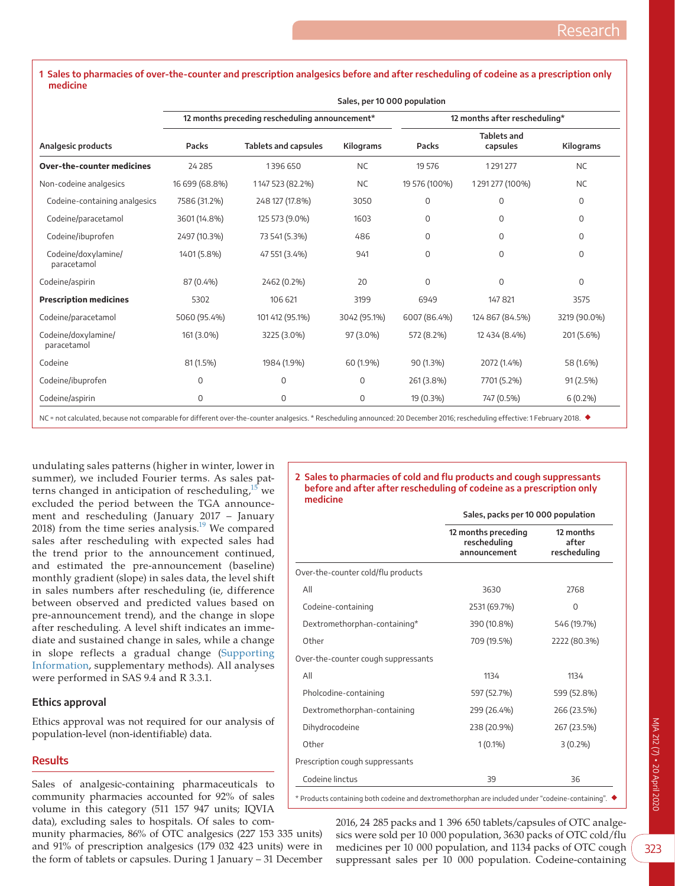#### <span id="page-2-0"></span>**1 Sales to pharmacies of over-the-counter and prescription analgesics before and after rescheduling of codeine as a prescription only medicine**

|                                    | Sales, per 10 000 population                   |                             |                  |                               |                                |              |  |  |
|------------------------------------|------------------------------------------------|-----------------------------|------------------|-------------------------------|--------------------------------|--------------|--|--|
| Analgesic products                 | 12 months preceding rescheduling announcement* |                             |                  | 12 months after rescheduling* |                                |              |  |  |
|                                    | Packs                                          | <b>Tablets and capsules</b> | <b>Kilograms</b> | Packs                         | <b>Tablets and</b><br>capsules | Kilograms    |  |  |
| Over-the-counter medicines         | 24 2 8 5                                       | 1396 650                    | <b>NC</b>        | 19 576                        | 1291277                        | <b>NC</b>    |  |  |
| Non-codeine analgesics             | 16 699 (68.8%)                                 | 1147 523 (82.2%)            | <b>NC</b>        | 19 576 (100%)                 | 1291277 (100%)                 | <b>NC</b>    |  |  |
| Codeine-containing analgesics      | 7586 (31.2%)                                   | 248 127 (17.8%)             | 3050             | 0                             | $\mathbf 0$                    | 0            |  |  |
| Codeine/paracetamol                | 3601 (14.8%)                                   | 125 573 (9.0%)              | 1603             | 0                             | $\Omega$                       | $\mathbf 0$  |  |  |
| Codeine/ibuprofen                  | 2497 (10.3%)                                   | 73 541 (5.3%)               | 486              | 0                             | $\Omega$                       | $\mathbf 0$  |  |  |
| Codeine/doxylamine/<br>paracetamol | 1401 (5.8%)                                    | 47 551 (3.4%)               | 941              | 0                             | $\Omega$                       | $\Omega$     |  |  |
| Codeine/aspirin                    | 87 (0.4%)                                      | 2462 (0.2%)                 | 20               | $\overline{0}$                | $\overline{0}$                 | $\mathbf 0$  |  |  |
| <b>Prescription medicines</b>      | 5302                                           | 106 621                     | 3199             | 6949                          | 147 821                        | 3575         |  |  |
| Codeine/paracetamol                | 5060 (95.4%)                                   | 101 412 (95.1%)             | 3042 (95.1%)     | 6007 (86.4%)                  | 124 867 (84.5%)                | 3219 (90.0%) |  |  |
| Codeine/doxylamine/<br>paracetamol | 161 (3.0%)                                     | 3225 (3.0%)                 | 97 (3.0%)        | 572 (8.2%)                    | 12 434 (8.4%)                  | 201 (5.6%)   |  |  |
| Codeine                            | 81 (1.5%)                                      | 1984 (1.9%)                 | 60 (1.9%)        | 90 (1.3%)                     | 2072 (1.4%)                    | 58 (1.6%)    |  |  |
| Codeine/ibuprofen                  | $\mathbf 0$                                    | $\mathbf 0$                 | $\mathbf 0$      | 261 (3.8%)                    | 7701 (5.2%)                    | 91 (2.5%)    |  |  |
| Codeine/aspirin                    | 0                                              | $\mathbf 0$                 | $\mathbf 0$      | 19 (0.3%)                     | 747 (0.5%)                     | $6(0.2\%)$   |  |  |

NC = not calculated, because not comparable for different over-the-counter analgesics. \* Rescheduling announced: 20 December 2016; rescheduling effective: 1 February 2018. ◆

undulating sales patterns (higher in winter, lower in summer), we included Fourier terms. As sales patterns changed in anticipation of rescheduling, $15$  we excluded the period between the TGA announcement and rescheduling (January 2017 – January 2018) from the time series analysis[.19](#page-6-16) We compared sales after rescheduling with expected sales had the trend prior to the announcement continued, and estimated the pre-announcement (baseline) monthly gradient (slope) in sales data, the level shift in sales numbers after rescheduling (ie, difference between observed and predicted values based on pre-announcement trend), and the change in slope after rescheduling. A level shift indicates an immediate and sustained change in sales, while a change in slope reflects a gradual change [\(Supporting](#page-6-13) [Information](#page-6-13), supplementary methods). All analyses were performed in SAS 9.4 and R 3.3.1.

## **Ethics approval**

Ethics approval was not required for our analysis of population-level (non-identifiable) data.

## **Results**

Sales of analgesic-containing pharmaceuticals to community pharmacies accounted for 92% of sales volume in this category (511 157 947 units; IQVIA data), excluding sales to hospitals. Of sales to com-

munity pharmacies, 86% of OTC analgesics (227 153 335 units) and 91% of prescription analgesics (179 032 423 units) were in the form of tablets or capsules. During 1 January – 31 December

#### <span id="page-2-1"></span>**2 Sales to pharmacies of cold and flu products and cough suppressants before and after after rescheduling of codeine as a prescription only medicine**

|                                     | Sales, packs per 10 000 population                  |                                    |  |  |
|-------------------------------------|-----------------------------------------------------|------------------------------------|--|--|
|                                     | 12 months preceding<br>rescheduling<br>announcement | 12 months<br>after<br>rescheduling |  |  |
| Over-the-counter cold/flu products  |                                                     |                                    |  |  |
| All                                 | 3630                                                | 2768                               |  |  |
| Codeine-containing                  | 2531 (69.7%)                                        | $\Omega$                           |  |  |
| Dextromethorphan-containing*        | 390 (10.8%)                                         | 546 (19.7%)                        |  |  |
| Other                               | 709 (19.5%)                                         | 2222 (80.3%)                       |  |  |
| Over-the-counter cough suppressants |                                                     |                                    |  |  |
| All                                 | 1134                                                | 1134                               |  |  |
| Pholcodine-containing               | 597 (52.7%)                                         | 599 (52.8%)                        |  |  |
| Dextromethorphan-containing         | 299 (26.4%)                                         | 266 (23.5%)                        |  |  |
| Dihydrocodeine                      | 238 (20.9%)                                         | 267 (23.5%)                        |  |  |
| Other                               | $1(0.1\%)$                                          | $3(0.2\%)$                         |  |  |
| Prescription cough suppressants     |                                                     |                                    |  |  |
| Codeine linctus                     | 39                                                  | 36                                 |  |  |

 $^*$  Products containing both codeine and dextromethorphan are included under "codeine-containing".  $\blacklozenge$ 

2016, 24 285 packs and 1 396 650 tablets/capsules of OTC analgesics were sold per 10 000 population, 3630 packs of OTC cold/flu medicines per 10 000 population, and 1134 packs of OTC cough suppressant sales per 10 000 population. Codeine-containing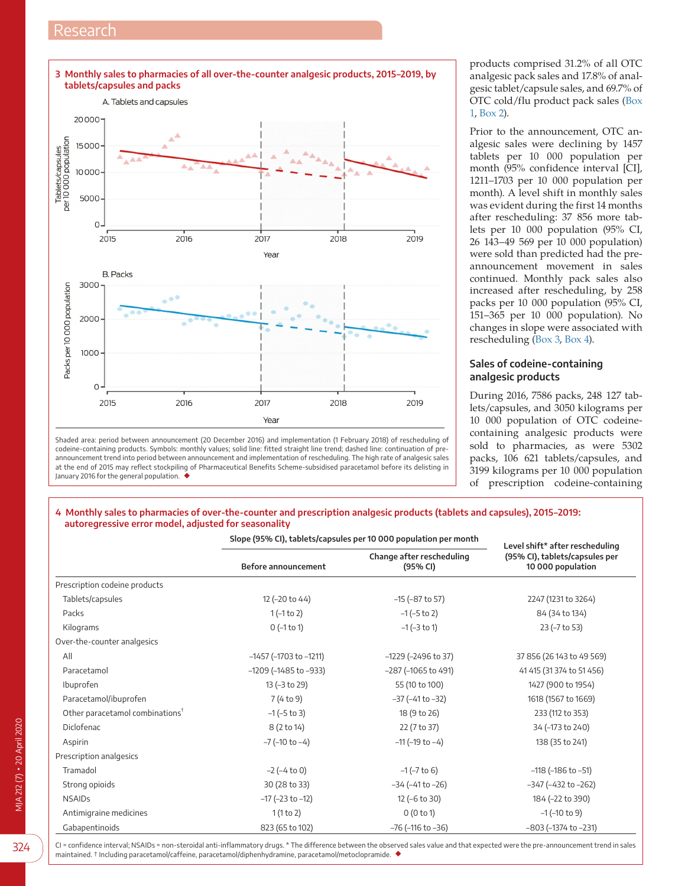<span id="page-3-0"></span>

Shaded area: period between announcement (20 December 2016) and implementation (1 February 2018) of rescheduling of codeine-containing products. Symbols: monthly values; solid line: fitted straight line trend; dashed line: continuation of preannouncement trend into period between announcement and implementation of rescheduling. The high rate of analgesic sales at the end of 2015 may reflect stockpiling of Pharmaceutical Benefits Scheme-subsidised paracetamol before its delisting in January 2016 for the general population. ◆

products comprised 31.2% of all OTC analgesic pack sales and 17.8% of analgesic tablet/capsule sales, and 69.7% of OTC cold/flu product pack sales ([Box](#page-2-0)  [1,](#page-2-0) [Box 2](#page-2-1)).

Prior to the announcement, OTC analgesic sales were declining by 1457 tablets per 10 000 population per month (95% confidence interval [CI], 1211–1703 per 10 000 population per month). A level shift in monthly sales was evident during the first 14 months after rescheduling: 37 856 more tablets per 10 000 population (95% CI, 26 143–49 569 per 10 000 population) were sold than predicted had the preannouncement movement in sales continued. Monthly pack sales also increased after rescheduling, by 258 packs per 10 000 population (95% CI, 151–365 per 10 000 population). No changes in slope were associated with rescheduling [\(Box 3,](#page-3-0) [Box 4\)](#page-3-1).

## **Sales of codeine-containing analgesic products**

During 2016, 7586 packs, 248 127 tablets/capsules, and 3050 kilograms per 10 000 population of OTC codeinecontaining analgesic products were sold to pharmacies, as were 5302 packs, 106 621 tablets/capsules, and 3199 kilograms per 10 000 population of prescription codeine-containing

## <span id="page-3-1"></span>**4 Monthly sales to pharmacies of over-the-counter and prescription analgesic products (tablets and capsules), 2015–2019: autoregressive error model, adjusted for seasonality**

|                                             | Slope (95% CI), tablets/capsules per 10 000 population per month | Level shift* after rescheduling       |                                                     |  |
|---------------------------------------------|------------------------------------------------------------------|---------------------------------------|-----------------------------------------------------|--|
|                                             | Before announcement                                              | Change after rescheduling<br>(95% CI) | (95% CI), tablets/capsules per<br>10 000 population |  |
| Prescription codeine products               |                                                                  |                                       |                                                     |  |
| Tablets/capsules                            | 12 (-20 to 44)                                                   | $-15$ ( $-87$ to 57)                  | 2247 (1231 to 3264)                                 |  |
| Packs                                       | $1(-1 to 2)$                                                     | $-1$ ( $-5$ to 2)                     | 84 (34 to 134)                                      |  |
| Kilograms                                   | $0$ (-1 to 1)                                                    | $-1$ ( $-3$ to 1)                     | 23 (-7 to 53)                                       |  |
| Over-the-counter analgesics                 |                                                                  |                                       |                                                     |  |
| All                                         | $-1457$ ( $-1703$ to $-1211$ )                                   | $-1229$ ( $-2496$ to 37)              | 37 856 (26 143 to 49 569)                           |  |
| Paracetamol                                 | $-1209$ ( $-1485$ to $-933$ )                                    | $-287$ ( $-1065$ to 491)              | 41 415 (31 374 to 51 456)                           |  |
| Ibuprofen                                   | 13 (-3 to 29)                                                    | 55 (10 to 100)                        | 1427 (900 to 1954)                                  |  |
| Paracetamol/ibuprofen                       | 7(4 to 9)                                                        | $-37$ ( $-41$ to $-32$ )              | 1618 (1567 to 1669)                                 |  |
| Other paracetamol combinations <sup>T</sup> | $-1$ ( $-5$ to 3)                                                | 18 (9 to 26)                          | 233 (112 to 353)                                    |  |
| Diclofenac                                  | 8 (2 to 14)                                                      | 22 (7 to 37)                          | 34 (-173 to 240)                                    |  |
| Aspirin                                     | $-7$ ( $-10$ to $-4$ )                                           | $-11$ ( $-19$ to $-4$ )               | 138 (35 to 241)                                     |  |
| Prescription analgesics                     |                                                                  |                                       |                                                     |  |
| Tramadol                                    | $-2 (-4 to 0)$                                                   | $-1$ ( $-7$ to 6)                     | $-118$ ( $-186$ to $-51$ )                          |  |
| Strong opioids                              | 30 (28 to 33)                                                    | $-34$ ( $-41$ to $-26$ )              | $-347$ ( $-432$ to $-262$ )                         |  |
| <b>NSAIDs</b>                               | $-17$ ( $-23$ to $-12$ )                                         | 12 (-6 to 30)                         | 184 (-22 to 390)                                    |  |
| Antimigraine medicines                      | 1(1 to 2)                                                        | 0(0 to 1)                             | $-1$ ( $-10$ to 9)                                  |  |
| Gabapentinoids                              | 823 (65 to 102)                                                  | $-76$ ( $-116$ to $-36$ )             | $-803$ ( $-1374$ to $-231$ )                        |  |

CI = confidence interval; NSAIDs = non-steroidal anti-inflammatory drugs. \* The difference between the observed sales value and that expected were the pre-announcement trend in sales maintained. † Including paracetamol/caffeine, paracetamol/diphenhydramine, paracetamol/metoclopramide. ◆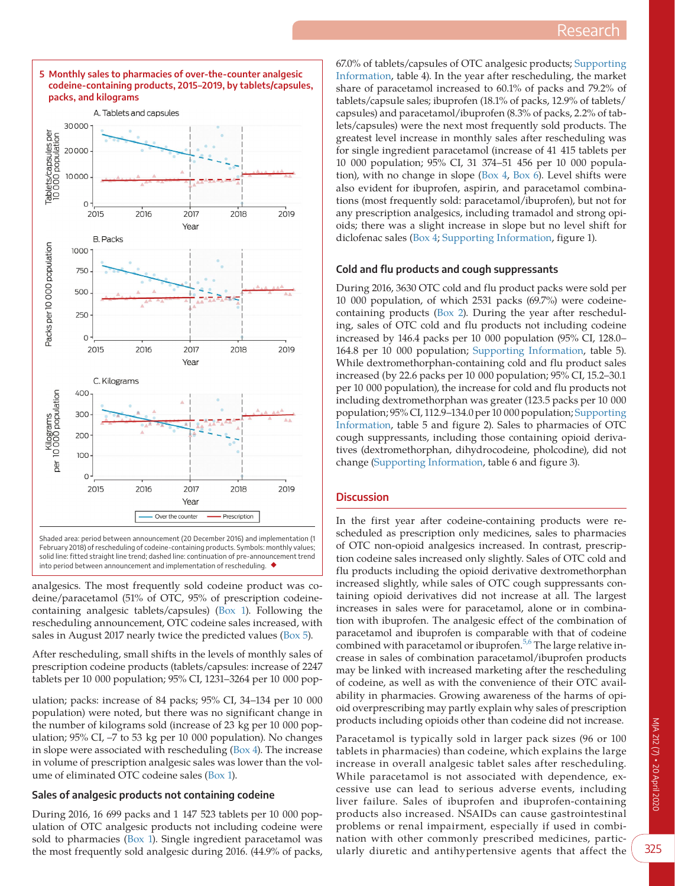<span id="page-4-0"></span>

67.0% of tablets/capsules of OTC analgesic products; [Supporting](#page-6-13)  [Information](#page-6-13), table 4). In the year after rescheduling, the market share of paracetamol increased to 60.1% of packs and 79.2% of tablets/capsule sales; ibuprofen (18.1% of packs, 12.9% of tablets/ capsules) and paracetamol/ibuprofen (8.3% of packs, 2.2% of tablets/capsules) were the next most frequently sold products. The greatest level increase in monthly sales after rescheduling was for single ingredient paracetamol (increase of 41 415 tablets per 10 000 population; 95% CI, 31 374–51 456 per 10 000 population), with no change in slope [\(Box 4](#page-3-1), [Box 6](#page-5-0)). Level shifts were also evident for ibuprofen, aspirin, and paracetamol combinations (most frequently sold: paracetamol/ibuprofen), but not for any prescription analgesics, including tramadol and strong opioids; there was a slight increase in slope but no level shift for diclofenac sales [\(Box 4;](#page-3-1) [Supporting Information,](#page-6-13) figure 1).

## **Cold and flu products and cough suppressants**

During 2016, 3630 OTC cold and flu product packs were sold per 10 000 population, of which 2531 packs (69.7%) were codeinecontaining products ([Box 2](#page-2-1)). During the year after rescheduling, sales of OTC cold and flu products not including codeine increased by 146.4 packs per 10 000 population (95% CI, 128.0– 164.8 per 10 000 population; [Supporting Information,](#page-6-13) table 5). While dextromethorphan-containing cold and flu product sales increased (by 22.6 packs per 10 000 population; 95% CI, 15.2–30.1 per 10 000 population), the increase for cold and flu products not including dextromethorphan was greater (123.5 packs per 10 000 population; 95% CI, 112.9–134.0 per 10 000 population; [Supporting](#page-6-13)  [Information,](#page-6-13) table 5 and figure 2). Sales to pharmacies of OTC cough suppressants, including those containing opioid derivatives (dextromethorphan, dihydrocodeine, pholcodine), did not change [\(Supporting Information](#page-6-13), table 6 and figure 3).

## **Discussion**

In the first year after codeine-containing products were rescheduled as prescription only medicines, sales to pharmacies of OTC non-opioid analgesics increased. In contrast, prescription codeine sales increased only slightly. Sales of OTC cold and flu products including the opioid derivative dextromethorphan increased slightly, while sales of OTC cough suppressants containing opioid derivatives did not increase at all. The largest increases in sales were for paracetamol, alone or in combination with ibuprofen. The analgesic effect of the combination of paracetamol and ibuprofen is comparable with that of codeine combined with paracetamol or ibuprofen.<sup>[5,6](#page-6-3)</sup> The large relative increase in sales of combination paracetamol/ibuprofen products may be linked with increased marketing after the rescheduling of codeine, as well as with the convenience of their OTC availability in pharmacies. Growing awareness of the harms of opioid overprescribing may partly explain why sales of prescription products including opioids other than codeine did not increase.

Paracetamol is typically sold in larger pack sizes (96 or 100 tablets in pharmacies) than codeine, which explains the large increase in overall analgesic tablet sales after rescheduling. While paracetamol is not associated with dependence, excessive use can lead to serious adverse events, including liver failure. Sales of ibuprofen and ibuprofen-containing products also increased. NSAIDs can cause gastrointestinal problems or renal impairment, especially if used in combination with other commonly prescribed medicines, particularly diuretic and antihypertensive agents that affect the

February 2018) of rescheduling of codeine-containing products. Symbols: monthly values; solid line: fitted straight line trend; dashed line: continuation of pre-announcement trend into period between announcement and implementation of rescheduling.

analgesics. The most frequently sold codeine product was codeine/paracetamol (51% of OTC, 95% of prescription codeinecontaining analgesic tablets/capsules) ([Box 1\)](#page-2-0). Following the rescheduling announcement, OTC codeine sales increased, with sales in August 2017 nearly twice the predicted values ([Box 5\)](#page-4-0).

After rescheduling, small shifts in the levels of monthly sales of prescription codeine products (tablets/capsules: increase of 2247 tablets per 10 000 population; 95% CI, 1231–3264 per 10 000 pop-

ulation; packs: increase of 84 packs; 95% CI, 34–134 per 10 000 population) were noted, but there was no significant change in the number of kilograms sold (increase of 23 kg per 10 000 population; 95% CI, –7 to 53 kg per 10 000 population). No changes in slope were associated with rescheduling  $(Box 4)$  $(Box 4)$ . The increase in volume of prescription analgesic sales was lower than the volume of eliminated OTC codeine sales ([Box 1\)](#page-2-0).

# **Sales of analgesic products not containing codeine**

During 2016, 16 699 packs and 1 147 523 tablets per 10 000 population of OTC analgesic products not including codeine were sold to pharmacies [\(Box 1](#page-2-0)). Single ingredient paracetamol was the most frequently sold analgesic during 2016. (44.9% of packs,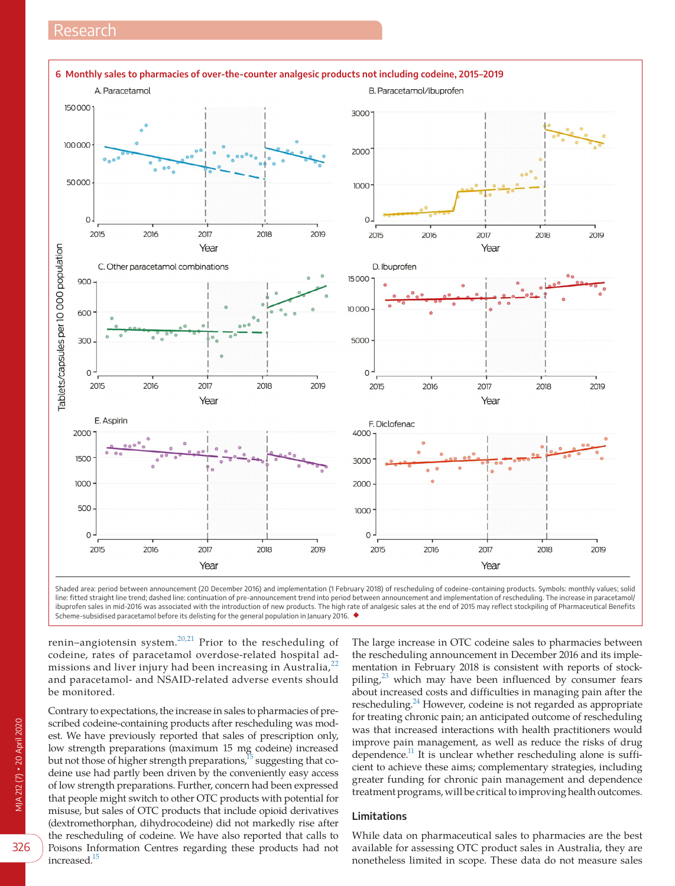<span id="page-5-0"></span>

Shaded area: period between announcement (20 December 2016) and implementation (1 February 2018) of rescheduling of codeine-containing products. Symbols: monthly values; solid line: fitted straight line trend; dashed line: continuation of pre-announcement trend into period between announcement and implementation of rescheduling. The increase in paracetamol/ ibuprofen sales in mid-2016 was associated with the introduction of new products. The high rate of analgesic sales at the end of 2015 may reflect stockpiling of Pharmaceutical Benefits Scheme-subsidised paracetamol before its delisting for the general population in January 2016. ◆

renin–angiotensin system. $^{20,21}$  Prior to the rescheduling of codeine, rates of paracetamol overdose-related hospital ad-missions and liver injury had been increasing in Australia,<sup>[22](#page-6-18)</sup> and paracetamol- and NSAID-related adverse events should be monitored.

Contrary to expectations, the increase in sales to pharmacies of prescribed codeine-containing products after rescheduling was modest. We have previously reported that sales of prescription only, low strength preparations (maximum 15 mg codeine) increased but not those of higher strength preparations,<sup>15</sup> suggesting that codeine use had partly been driven by the conveniently easy access of low strength preparations. Further, concern had been expressed that people might switch to other OTC products with potential for misuse, but sales of OTC products that include opioid derivatives (dextromethorphan, dihydrocodeine) did not markedly rise after the rescheduling of codeine. We have also reported that calls to Poisons Information Centres regarding these products had not increased.<sup>15</sup>

The large increase in OTC codeine sales to pharmacies between the rescheduling announcement in December 2016 and its implementation in February 2018 is consistent with reports of stockpiling, $2<sup>3</sup>$  which may have been influenced by consumer fears about increased costs and difficulties in managing pain after the rescheduling.<sup>24</sup> However, codeine is not regarded as appropriate for treating chronic pain; an anticipated outcome of rescheduling was that increased interactions with health practitioners would improve pain management, as well as reduce the risks of drug dependence.<sup>11</sup> It is unclear whether rescheduling alone is sufficient to achieve these aims; complementary strategies, including greater funding for chronic pain management and dependence treatment programs, will be critical to improving health outcomes.

## **Limitations**

While data on pharmaceutical sales to pharmacies are the best available for assessing OTC product sales in Australia, they are nonetheless limited in scope. These data do not measure sales